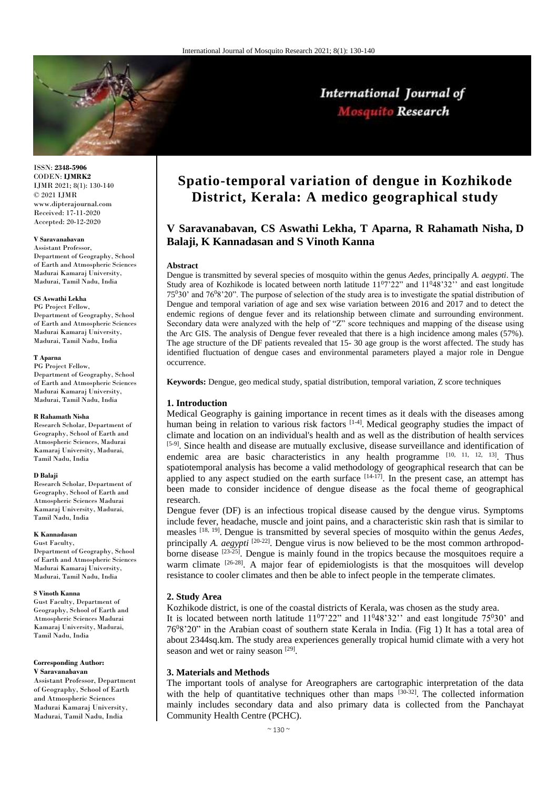

ISSN: **2348-5906** CODEN: **IJMRK2** IJMR 2021; 8(1): 130-140 © 2021 IJMR www.dipterajournal.com Received: 17-11-2020 Accepted: 20-12-2020

## **V Saravanabavan**

Assistant Professor, Department of Geography, School of Earth and Atmospheric Sciences Madurai Kamaraj University, Madurai, Tamil Nadu, India

## **CS Aswathi Lekha**

PG Project Fellow, Department of Geography, School of Earth and Atmospheric Sciences Madurai Kamaraj University, Madurai, Tamil Nadu, India

#### **T Aparna**

PG Project Fellow, Department of Geography, School of Earth and Atmospheric Sciences Madurai Kamaraj University, Madurai, Tamil Nadu, India

## **R Rahamath Nisha**

Research Scholar, Department of Geography, School of Earth and Atmospheric Sciences, Madurai Kamaraj University, Madurai, Tamil Nadu, India

## **D Balaji**

Research Scholar, Department of Geography, School of Earth and Atmospheric Sciences Madurai Kamaraj University, Madurai, Tamil Nadu, India

### **K Kannadasan**

Gust Faculty, Department of Geography, School of Earth and Atmospheric Sciences Madurai Kamaraj University, Madurai, Tamil Nadu, India

#### **S Vinoth Kanna**

Gust Faculty, Department of Geography, School of Earth and Atmospheric Sciences Madurai Kamaraj University, Madurai, Tamil Nadu, India

#### **Corresponding Author: V Saravanabavan**

Assistant Professor, Department of Geography, School of Earth and Atmospheric Sciences Madurai Kamaraj University, Madurai, Tamil Nadu, India

# **Spatio-temporal variation of dengue in Kozhikode District, Kerala: A medico geographical study**

International Journal of Mosquito Research

# **V Saravanabavan, CS Aswathi Lekha, T Aparna, R Rahamath Nisha, D Balaji, K Kannadasan and S Vinoth Kanna**

## **Abstract**

Dengue is transmitted by several species of mosquito within the genus *Aedes*, principally *A. aegypti*. The Study area of Kozhikode is located between north latitude  $11^07^222$ " and  $11^048^322$ " and east longitude  $75^030'$  and  $76^08'20''$ . The purpose of selection of the study area is to investigate the spatial distribution of Dengue and temporal variation of age and sex wise variation between 2016 and 2017 and to detect the endemic regions of dengue fever and its relationship between climate and surrounding environment. Secondary data were analyzed with the help of "Z" score techniques and mapping of the disease using the Arc GIS. The analysis of Dengue fever revealed that there is a high incidence among males (57%). The age structure of the DF patients revealed that 15- 30 age group is the worst affected. The study has identified fluctuation of dengue cases and environmental parameters played a major role in Dengue occurrence.

**Keywords:** Dengue, geo medical study, spatial distribution, temporal variation, Z score techniques

# **1. Introduction**

Medical Geography is gaining importance in recent times as it deals with the diseases among human being in relation to various risk factors  $[1-4]$ . Medical geography studies the impact of climate and location on an individual's health and as well as the distribution of health services [5-9]. Since health and disease are mutually exclusive, disease surveillance and identification of endemic area are basic characteristics in any health programme  $[10, 11, 12, 13]$ . Thus spatiotemporal analysis has become a valid methodology of geographical research that can be applied to any aspect studied on the earth surface  $[14-17]$ . In the present case, an attempt has been made to consider incidence of dengue disease as the focal theme of geographical research.

Dengue fever (DF) is an infectious tropical disease caused by the dengue virus. Symptoms include fever, headache, muscle and joint pains, and a characteristic skin rash that is similar to measles [18, 19] . Dengue is transmitted by several species of mosquito within the genus *Aedes*, principally *A. aegypti* <sup>[20-22]</sup>. Dengue virus is now believed to be the most common arthropodborne disease  $\frac{[23-25]}{]}$ . Dengue is mainly found in the tropics because the mosquitoes require a warm climate <sup>[26-28]</sup>. A major fear of epidemiologists is that the mosquitoes will develop resistance to cooler climates and then be able to infect people in the temperate climates.

## **2. Study Area**

Kozhikode district, is one of the coastal districts of Kerala, was chosen as the study area.

It is located between north latitude  $11^{\circ}7^{\circ}22^{\circ}$  and  $11^{\circ}48^{\circ}32^{\circ}$  and east longitude 75<sup>0</sup>30' and 76<sup>0</sup>8'20" in the Arabian coast of southern state Kerala in India. (Fig 1) It has a total area of about 2344sq.km. The study area experiences generally tropical humid climate with a very hot season and wet or rainy season [29].

## **3. Materials and Methods**

The important tools of analyse for Areographers are cartographic interpretation of the data with the help of quantitative techniques other than maps  $^{[30\text{-}32]}$ . The collected information mainly includes secondary data and also primary data is collected from the Panchayat Community Health Centre (PCHC).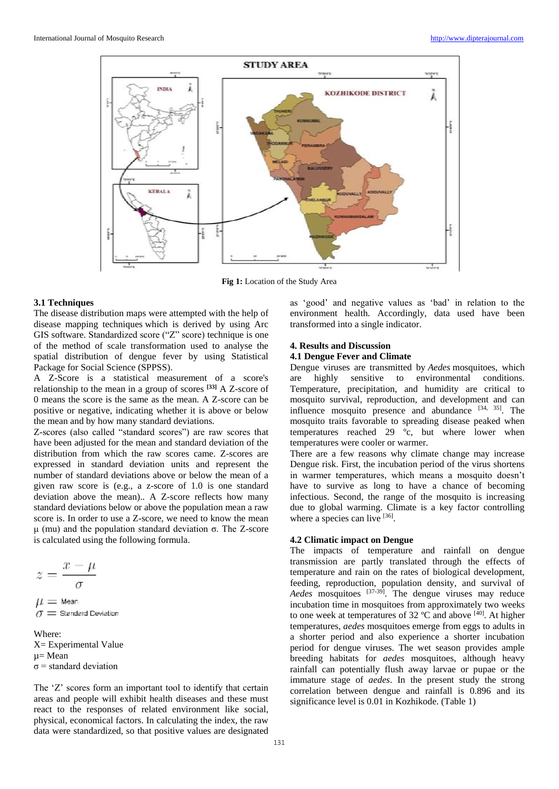

**Fig 1:** Location of the Study Area

## **3.1 Techniques**

The disease distribution maps were attempted with the help of disease mapping techniques which is derived by using Arc GIS software. Standardized score ("Z" score) technique is one of the method of scale transformation used to analyse the spatial distribution of dengue fever by using Statistical Package for Social Science (SPPSS).

A Z-Score is a statistical measurement of a score's relationship to the mean in a group of scores **[33]** A Z-score of 0 means the score is the same as the mean. A Z-score can be positive or negative, indicating whether it is above or below the mean and by how many standard deviations.

Z-scores (also called "standard scores") are raw scores that have been adjusted for the mean and standard deviation of the distribution from which the raw scores came. Z-scores are expressed in standard deviation units and represent the number of standard deviations above or below the mean of a given raw score is (e.g., a z-score of 1.0 is one standard deviation above the mean).. A Z-score reflects how many standard deviations below or above the population mean a raw score is. In order to use a Z-score, we need to know the mean μ (mu) and the population standard deviation σ. The Z-score is calculated using the following formula.

$$
z = \frac{x - \mu}{\sigma}
$$

 $\mu=$  Mean  $\sigma =$  Standard Deviation

Where: X= Experimental Value µ= Mean  $\sigma$  = standard deviation

The 'Z' scores form an important tool to identify that certain areas and people will exhibit health diseases and these must react to the responses of related environment like social, physical, economical factors. In calculating the index, the raw data were standardized, so that positive values are designated

as 'good' and negative values as 'bad' in relation to the environment health. Accordingly, data used have been transformed into a single indicator.

# **4. Results and Discussion**

# **4.1 Dengue Fever and Climate**

Dengue viruses are transmitted by *Aedes* mosquitoes, which are highly sensitive to environmental conditions. Temperature, precipitation, and humidity are critical to mosquito survival, reproduction, and development and can influence mosquito presence and abundance  $[34, 35]$ . The mosquito traits favorable to spreading disease peaked when temperatures reached 29 ºc, but where lower when temperatures were cooler or warmer.

There are a few reasons why climate change may increase Dengue risk. First, the incubation period of the virus shortens in warmer temperatures, which means a mosquito doesn't have to survive as long to have a chance of becoming infectious. Second, the range of the mosquito is increasing due to global warming. Climate is a key factor controlling where a species can live [36].

# **4.2 Climatic impact on Dengue**

The impacts of temperature and rainfall on dengue transmission are partly translated through the effects of temperature and rain on the rates of biological development, feeding, reproduction, population density, and survival of Aedes mosquitoes <sup>[37-39]</sup>. The dengue viruses may reduce incubation time in mosquitoes from approximately two weeks to one week at temperatures of  $32 \text{ °C}$  and above  $^{[40]}$ . At higher temperatures, *aedes* mosquitoes emerge from eggs to adults in a shorter period and also experience a shorter incubation period for dengue viruses. The wet season provides ample breeding habitats for *aedes* mosquitoes, although heavy rainfall can potentially flush away larvae or pupae or the immature stage of *aedes*. In the present study the strong correlation between dengue and rainfall is 0.896 and its significance level is 0.01 in Kozhikode. (Table 1)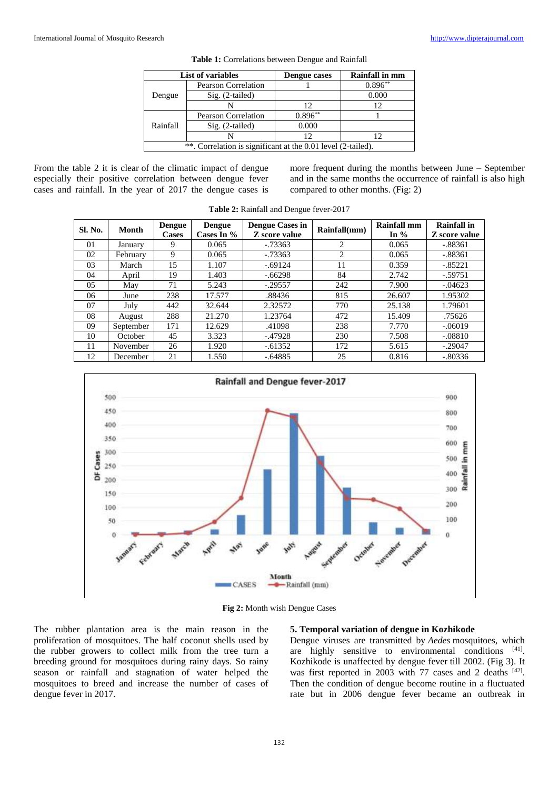|                                                              | List of variables          | Dengue cases | <b>Rainfall in mm</b> |  |  |  |  |
|--------------------------------------------------------------|----------------------------|--------------|-----------------------|--|--|--|--|
|                                                              | <b>Pearson Correlation</b> |              | $0.896**$             |  |  |  |  |
| Dengue                                                       | $Sig. (2-tailed)$          |              | 0.000                 |  |  |  |  |
|                                                              |                            | 12           | 12                    |  |  |  |  |
|                                                              | <b>Pearson Correlation</b> | $0.896***$   |                       |  |  |  |  |
| Rainfall                                                     | $Sig. (2-tailed)$          | 0.000        |                       |  |  |  |  |
|                                                              |                            |              |                       |  |  |  |  |
| **. Correlation is significant at the 0.01 level (2-tailed). |                            |              |                       |  |  |  |  |

**Table 1:** Correlations between Dengue and Rainfall

From the table 2 it is clear of the climatic impact of dengue especially their positive correlation between dengue fever cases and rainfall. In the year of 2017 the dengue cases is more frequent during the months between June – September and in the same months the occurrence of rainfall is also high compared to other months. (Fig: 2)

| Sl. No. | <b>Month</b> | Dengue<br><b>Cases</b> | Dengue<br>Cases In $%$ | <b>Dengue Cases in</b><br>Z score value | Rainfall(mm)   | Rainfall mm<br>In $%$ | <b>Rainfall</b> in<br>Z score value |
|---------|--------------|------------------------|------------------------|-----------------------------------------|----------------|-----------------------|-------------------------------------|
| 01      | January      | 9                      | 0.065                  | $-0.73363$                              | $\overline{2}$ | 0.065                 | $-.88361$                           |
| 02      | February     | 9                      | 0.065                  | $-0.73363$                              | 2              | 0.065                 | $-.88361$                           |
| 03      | March        | 15                     | 1.107                  | $-.69124$                               | 11             | 0.359                 | $-.85221$                           |
| 04      | April        | 19                     | 1.403                  | $-66298$                                | 84             | 2.742                 | $-.59751$                           |
| 05      | May          | 71                     | 5.243                  | $-.29557$                               | 242            | 7.900                 | $-.04623$                           |
| 06      | June         | 238                    | 17.577                 | .88436                                  | 815            | 26.607                | 1.95302                             |
| 07      | July         | 442                    | 32.644                 | 2.32572                                 | 770            | 25.138                | 1.79601                             |
| 08      | August       | 288                    | 21.270                 | 1.23764                                 | 472            | 15.409                | .75626                              |
| 09      | September    | 171                    | 12.629                 | .41098                                  | 238            | 7.770                 | $-.06019$                           |
| 10      | October      | 45                     | 3.323                  | $-0.47928$                              | 230            | 7.508                 | $-.08810$                           |
| 11      | November     | 26                     | 1.920                  | $-.61352$                               | 172            | 5.615                 | $-.29047$                           |
| 12      | December     | 21                     | 1.550                  | $-.64885$                               | 25             | 0.816                 | $-.80336$                           |

**Table 2:** Rainfall and Dengue fever-2017



**Fig 2:** Month wish Dengue Cases

The rubber plantation area is the main reason in the proliferation of mosquitoes. The half coconut shells used by the rubber growers to collect milk from the tree turn a breeding ground for mosquitoes during rainy days. So rainy season or rainfall and stagnation of water helped the mosquitoes to breed and increase the number of cases of dengue fever in 2017.

## **5. Temporal variation of dengue in Kozhikode**

Dengue viruses are transmitted by *Aedes* mosquitoes, which are highly sensitive to environmental conditions [41]. Kozhikode is unaffected by dengue fever till 2002. (Fig 3). It was first reported in 2003 with 77 cases and 2 deaths [42]. Then the condition of dengue become routine in a fluctuated rate but in 2006 dengue fever became an outbreak in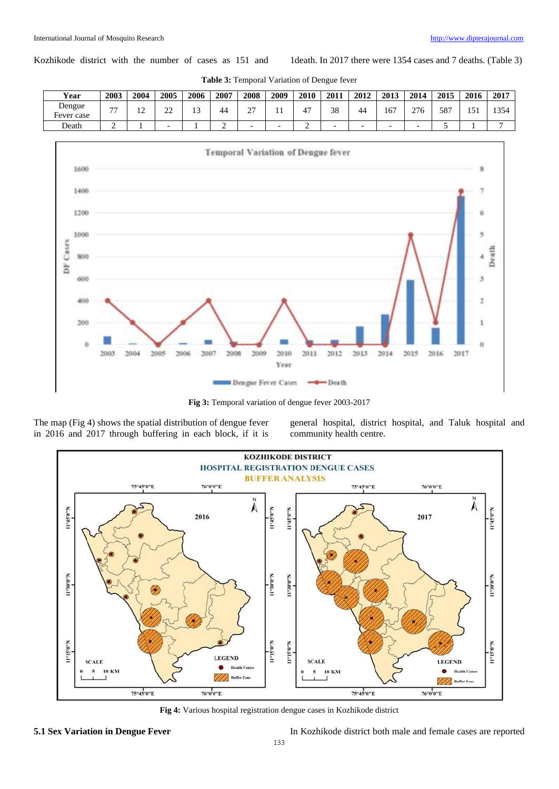Kozhikode district with the number of cases as 151 and 1death. In 2017 there were 1354 cases and 7 deaths. (Table 3)

| Year                      | 2003 | 2004                | 2005         | 2006         | 2007 | 2008        | 2009 | 2010 | 2011 | 2012 | 2013 | 2014 | 2015 | 2016   | 2017 |
|---------------------------|------|---------------------|--------------|--------------|------|-------------|------|------|------|------|------|------|------|--------|------|
| Dengue<br>-<br>Fever case | --   | ^<br>$\overline{ }$ | $\sim$<br>-- | $\sim$<br>⊥⊃ | 44   | $\sim$<br>∼ |      | 47   | 38   | 44   | 167  | 276  | 587  | $\sim$ | 1354 |
| Death                     |      |                     |              |              | -    |             | -    | -    |      | -    |      |      |      |        |      |

**Table 3:** Temporal Variation of Dengue fever



**Fig 3:** Temporal variation of dengue fever 2003-2017

The map (Fig 4) shows the spatial distribution of dengue fever in 2016 and 2017 through buffering in each block, if it is

general hospital, district hospital, and Taluk hospital and community health centre.



**Fig 4:** Various hospital registration dengue cases in Kozhikode district

**5.1 Sex Variation in Dengue Fever** In Kozhikode district both male and female cases are reported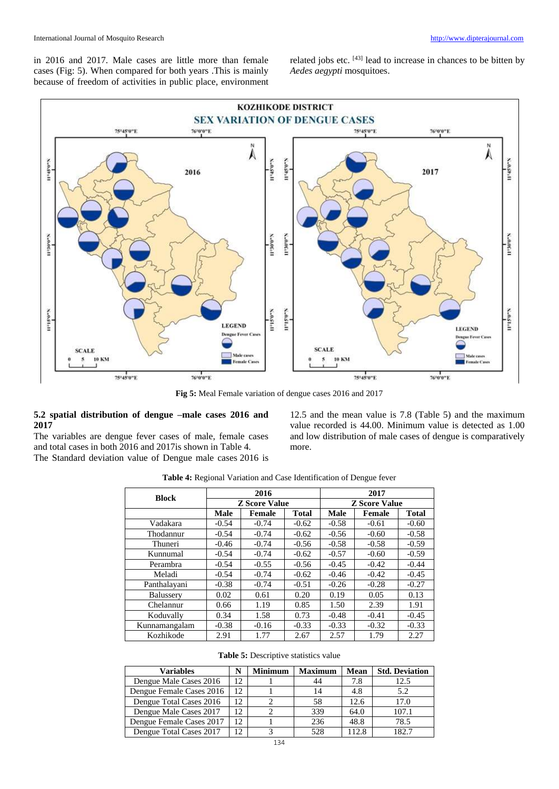in 2016 and 2017. Male cases are little more than female cases (Fig: 5). When compared for both years .This is mainly because of freedom of activities in public place, environment

related jobs etc. [43] lead to increase in chances to be bitten by *Aedes aegypti* mosquitoes.



**Fig 5:** Meal Female variation of dengue cases 2016 and 2017

# **5.2 spatial distribution of dengue –male cases 2016 and 2017**

The variables are dengue fever cases of male, female cases and total cases in both 2016 and 2017is shown in Table 4. The Standard deviation value of Dengue male cases 2016 is

12.5 and the mean value is 7.8 (Table 5) and the maximum value recorded is 44.00. Minimum value is detected as 1.00 and low distribution of male cases of dengue is comparatively more.

| <b>Block</b>  |             | 2016                 |              | 2017<br><b>Z</b> Score Value |               |              |  |
|---------------|-------------|----------------------|--------------|------------------------------|---------------|--------------|--|
|               |             | <b>Z</b> Score Value |              |                              |               |              |  |
|               | <b>Male</b> | <b>Female</b>        | <b>Total</b> | <b>Male</b>                  | <b>Female</b> | <b>Total</b> |  |
| Vadakara      | $-0.54$     | $-0.74$              | $-0.62$      | $-0.58$                      | $-0.61$       | $-0.60$      |  |
| Thodannur     | $-0.54$     | $-0.74$              | $-0.62$      | $-0.56$                      | $-0.60$       | $-0.58$      |  |
| Thuneri       | $-0.46$     | $-0.74$              | $-0.56$      | $-0.58$                      | $-0.58$       | $-0.59$      |  |
| Kunnumal      | $-0.54$     | $-0.74$              | $-0.62$      | $-0.57$                      | $-0.60$       | $-0.59$      |  |
| Perambra      | $-0.54$     | $-0.55$              | $-0.56$      | $-0.45$                      | $-0.42$       | $-0.44$      |  |
| Meladi        | $-0.54$     | $-0.74$              | $-0.62$      | $-0.46$                      | $-0.42$       | $-0.45$      |  |
| Panthalayani  | $-0.38$     | $-0.74$              | $-0.51$      | $-0.26$                      | $-0.28$       | $-0.27$      |  |
| Balussery     | 0.02        | 0.61                 | 0.20         | 0.19                         | 0.05          | 0.13         |  |
| Chelannur     | 0.66        | 1.19                 | 0.85         | 1.50                         | 2.39          | 1.91         |  |
| Koduvally     | 0.34        | 1.58                 | 0.73         | $-0.48$                      | $-0.41$       | $-0.45$      |  |
| Kunnamangalam | $-0.38$     | $-0.16$              | $-0.33$      | $-0.33$                      | $-0.32$       | $-0.33$      |  |
| Kozhikode     | 2.91        | 1.77                 | 2.67         | 2.57                         | 1.79          | 2.27         |  |

**Table 4:** Regional Variation and Case Identification of Dengue fever

**Table 5:** Descriptive statistics value

| <b>Variables</b>         | N   | <b>Minimum</b> | Maximum | Mean  | <b>Std. Deviation</b> |
|--------------------------|-----|----------------|---------|-------|-----------------------|
| Dengue Male Cases 2016   | 12  |                | 44      | 7.8   | 12.5                  |
| Dengue Female Cases 2016 | 12. |                | 14      | 4.8   | 5.2                   |
| Dengue Total Cases 2016  | 12  |                | 58      | 12.6  | 17.0                  |
| Dengue Male Cases 2017   | 12  |                | 339     | 64.0  | 107.1                 |
| Dengue Female Cases 2017 | 12  |                | 236     | 48.8  | 78.5                  |
| Dengue Total Cases 2017  | 12. |                | 528     | 112.8 | 182.7                 |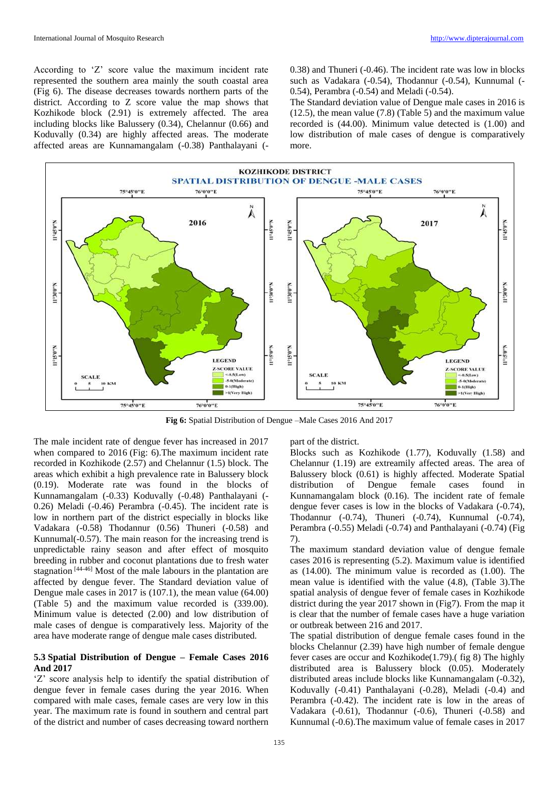According to 'Z' score value the maximum incident rate represented the southern area mainly the south coastal area (Fig 6). The disease decreases towards northern parts of the district. According to Z score value the map shows that Kozhikode block (2.91) is extremely affected. The area including blocks like Balussery (0.34), Chelannur (0.66) and Koduvally (0.34) are highly affected areas. The moderate affected areas are Kunnamangalam (-0.38) Panthalayani (-

0.38) and Thuneri (-0.46). The incident rate was low in blocks such as Vadakara (-0.54), Thodannur (-0.54), Kunnumal (- 0.54), Perambra (-0.54) and Meladi (-0.54).

The Standard deviation value of Dengue male cases in 2016 is (12.5), the mean value (7.8) (Table 5) and the maximum value recorded is (44.00). Minimum value detected is (1.00) and low distribution of male cases of dengue is comparatively more.

![](_page_5_Figure_5.jpeg)

**Fig 6:** Spatial Distribution of Dengue –Male Cases 2016 And 2017

The male incident rate of dengue fever has increased in 2017 when compared to 2016 (Fig: 6).The maximum incident rate recorded in Kozhikode (2.57) and Chelannur (1.5) block. The areas which exhibit a high prevalence rate in Balussery block (0.19). Moderate rate was found in the blocks of Kunnamangalam (-0.33) Koduvally (-0.48) Panthalayani (- 0.26) Meladi (-0.46) Perambra (-0.45). The incident rate is low in northern part of the district especially in blocks like Vadakara (-0.58) Thodannur (0.56) Thuneri (-0.58) and Kunnumal(-0.57). The main reason for the increasing trend is unpredictable rainy season and after effect of mosquito breeding in rubber and coconut plantations due to fresh water stagnation [44-46] Most of the male labours in the plantation are affected by dengue fever. The Standard deviation value of Dengue male cases in 2017 is (107.1), the mean value (64.00) (Table 5) and the maximum value recorded is (339.00). Minimum value is detected (2.00) and low distribution of male cases of dengue is comparatively less. Majority of the area have moderate range of dengue male cases distributed.

# **5.3 Spatial Distribution of Dengue – Female Cases 2016 And 2017**

'Z' score analysis help to identify the spatial distribution of dengue fever in female cases during the year 2016. When compared with male cases, female cases are very low in this year. The maximum rate is found in southern and central part of the district and number of cases decreasing toward northern

part of the district.

Blocks such as Kozhikode (1.77), Koduvally (1.58) and Chelannur (1.19) are extreamily affected areas. The area of Balussery block (0.61) is highly affected. Moderate Spatial distribution of Dengue female cases found in Kunnamangalam block (0.16). The incident rate of female dengue fever cases is low in the blocks of Vadakara (-0.74), Thodannur (-0.74), Thuneri (-0.74), Kunnumal (-0.74), Perambra (-0.55) Meladi (-0.74) and Panthalayani (-0.74) (Fig 7).

The maximum standard deviation value of dengue female cases 2016 is representing (5.2). Maximum value is identified as (14.00). The minimum value is recorded as (1.00). The mean value is identified with the value (4.8), (Table 3).The spatial analysis of dengue fever of female cases in Kozhikode district during the year 2017 shown in (Fig7). From the map it is clear that the number of female cases have a huge variation or outbreak between 216 and 2017.

The spatial distribution of dengue female cases found in the blocks Chelannur (2.39) have high number of female dengue fever cases are occur and Kozhikode(1.79).( fig 8) The highly distributed area is Balussery block (0.05). Moderately distributed areas include blocks like Kunnamangalam (-0.32), Koduvally (-0.41) Panthalayani (-0.28), Meladi (-0.4) and Perambra (-0.42). The incident rate is low in the areas of Vadakara (-0.61), Thodannur (-0.6), Thuneri (-0.58) and Kunnumal (-0.6).The maximum value of female cases in 2017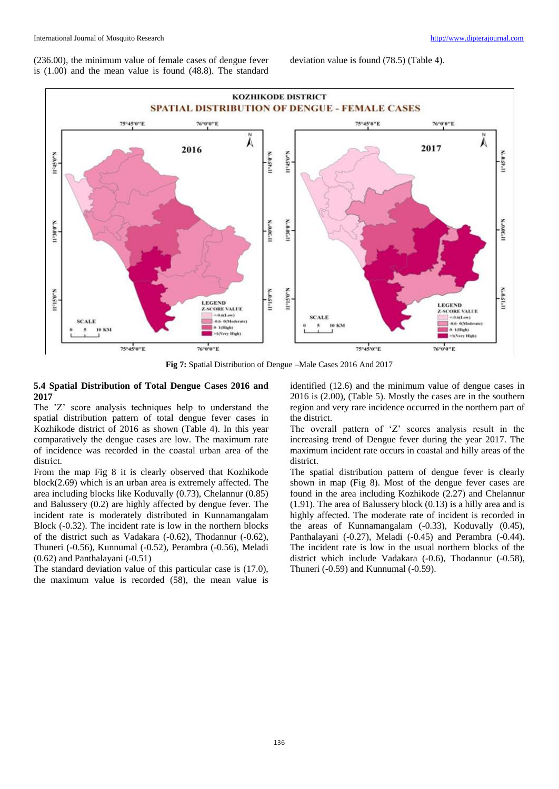(236.00), the minimum value of female cases of dengue fever is (1.00) and the mean value is found (48.8). The standard

deviation value is found (78.5) (Table 4).

![](_page_6_Figure_4.jpeg)

**Fig 7:** Spatial Distribution of Dengue –Male Cases 2016 And 2017

# **5.4 Spatial Distribution of Total Dengue Cases 2016 and 2017**

The 'Z' score analysis techniques help to understand the spatial distribution pattern of total dengue fever cases in Kozhikode district of 2016 as shown (Table 4). In this year comparatively the dengue cases are low. The maximum rate of incidence was recorded in the coastal urban area of the district.

From the map Fig 8 it is clearly observed that Kozhikode block(2.69) which is an urban area is extremely affected. The area including blocks like Koduvally (0.73), Chelannur (0.85) and Balussery (0.2) are highly affected by dengue fever. The incident rate is moderately distributed in Kunnamangalam Block (-0.32). The incident rate is low in the northern blocks of the district such as Vadakara (-0.62), Thodannur (-0.62), Thuneri (-0.56), Kunnumal (-0.52), Perambra (-0.56), Meladi (0.62) and Panthalayani (-0.51)

The standard deviation value of this particular case is (17.0), the maximum value is recorded (58), the mean value is identified (12.6) and the minimum value of dengue cases in 2016 is (2.00), (Table 5). Mostly the cases are in the southern region and very rare incidence occurred in the northern part of the district.

The overall pattern of 'Z' scores analysis result in the increasing trend of Dengue fever during the year 2017. The maximum incident rate occurs in coastal and hilly areas of the district.

The spatial distribution pattern of dengue fever is clearly shown in map (Fig 8). Most of the dengue fever cases are found in the area including Kozhikode (2.27) and Chelannur (1.91). The area of Balussery block (0.13) is a hilly area and is highly affected. The moderate rate of incident is recorded in the areas of Kunnamangalam (-0.33), Koduvally (0.45), Panthalayani (-0.27), Meladi (-0.45) and Perambra (-0.44). The incident rate is low in the usual northern blocks of the district which include Vadakara (-0.6), Thodannur (-0.58), Thuneri (-0.59) and Kunnumal (-0.59).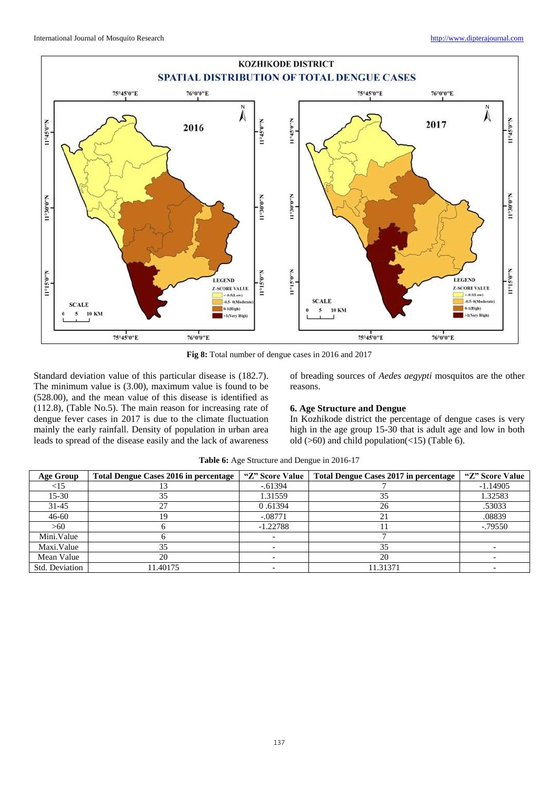![](_page_7_Figure_2.jpeg)

**Fig 8:** Total number of dengue cases in 2016 and 2017

Standard deviation value of this particular disease is (182.7). The minimum value is (3.00), maximum value is found to be (528.00), and the mean value of this disease is identified as (112.8), (Table No.5). The main reason for increasing rate of dengue fever cases in 2017 is due to the climate fluctuation mainly the early rainfall. Density of population in urban area leads to spread of the disease easily and the lack of awareness

of breading sources of *Aedes aegypti* mosquitos are the other reasons.

# **6. Age Structure and Dengue**

In Kozhikode district the percentage of dengue cases is very high in the age group 15-30 that is adult age and low in both old (>60) and child population(<15) (Table 6).

| Age Group      | <b>Total Dengue Cases 2016 in percentage</b> | "Z" Score Value | Total Dengue Cases 2017 in percentage | "Z" Score Value |
|----------------|----------------------------------------------|-----------------|---------------------------------------|-----------------|
| $<$ 15         |                                              | $-0.61394$      |                                       | $-1.14905$      |
| $15-30$        | 35                                           | 1.31559         | 35                                    | 1.32583         |
| $31 - 45$      | 27                                           | 0.61394         | 26                                    | .53033          |
| $46 - 60$      | 19                                           | $-.08771$       |                                       | .08839          |
| >60            |                                              | $-1.22788$      |                                       | $-0.79550$      |
| Mini.Value     |                                              |                 |                                       |                 |
| Maxi.Value     | 35                                           |                 | 35                                    |                 |
| Mean Value     | 20                                           |                 | 20                                    |                 |
| Std. Deviation | 11.40175                                     |                 | 11.31371                              |                 |

**Table 6:** Age Structure and Dengue in 2016-17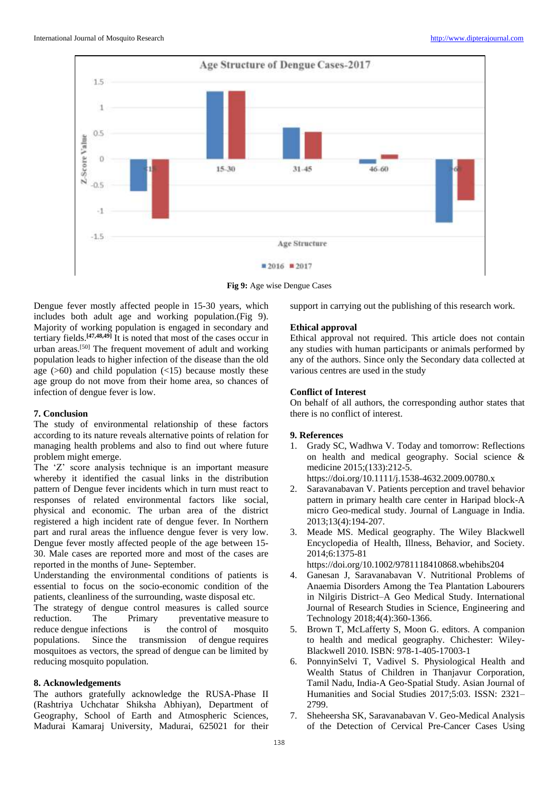![](_page_8_Figure_2.jpeg)

**Fig 9:** Age wise Dengue Cases

Dengue fever mostly affected people in 15-30 years, which includes both adult age and working population.(Fig 9). Majority of working population is engaged in secondary and tertiary fields.**[47,48,49]** It is noted that most of the cases occur in urban areas.[50] The frequent movement of adult and working population leads to higher infection of the disease than the old age  $(>60)$  and child population  $(<15)$  because mostly these age group do not move from their home area, so chances of infection of dengue fever is low.

# **7. Conclusion**

The study of environmental relationship of these factors according to its nature reveals alternative points of relation for managing health problems and also to find out where future problem might emerge.

The 'Z' score analysis technique is an important measure whereby it identified the casual links in the distribution pattern of Dengue fever incidents which in turn must react to responses of related environmental factors like social, physical and economic. The urban area of the district registered a high incident rate of dengue fever. In Northern part and rural areas the influence dengue fever is very low. Dengue fever mostly affected people of the age between 15- 30. Male cases are reported more and most of the cases are reported in the months of June- September.

Understanding the environmental conditions of patients is essential to focus on the socio-economic condition of the patients, cleanliness of the surrounding, waste disposal etc.

The strategy of dengue control measures is called source reduction. The Primary preventative measure to reduce dengue infections is the control of mosquito populations. Since the transmission of dengue requires mosquitoes as vectors, the spread of dengue can be limited by reducing mosquito population.

# **8. Acknowledgements**

The authors gratefully acknowledge the RUSA-Phase II (Rashtriya Uchchatar Shiksha Abhiyan), Department of Geography, School of Earth and Atmospheric Sciences, Madurai Kamaraj University, Madurai, 625021 for their

support in carrying out the publishing of this research work.

## **Ethical approval**

Ethical approval not required. This article does not contain any studies with human participants or animals performed by any of the authors. Since only the Secondary data collected at various centres are used in the study

## **Conflict of Interest**

On behalf of all authors, the corresponding author states that there is no conflict of interest.

# **9. References**

- 1. Grady SC, Wadhwa V. Today and tomorrow: Reflections on health and medical geography. Social science & medicine 2015;(133):212-5. https://doi.org/10.1111/j.1538-4632.2009.00780.x
- 2. Saravanabavan V. Patients perception and travel behavior pattern in primary health care center in Haripad block-A micro Geo-medical study. Journal of Language in India. 2013;13(4):194-207.
- 3. Meade MS. Medical geography. The Wiley Blackwell Encyclopedia of Health, Illness, Behavior, and Society. 2014;6:1375-81

https://doi.org/10.1002/9781118410868.wbehibs204

- 4. Ganesan J, Saravanabavan V. Nutritional Problems of Anaemia Disorders Among the Tea Plantation Labourers in Nilgiris District–A Geo Medical Study. International Journal of Research Studies in Science, Engineering and Technology 2018;4(4):360-1366.
- 5. Brown T, McLafferty S, Moon G. editors. A companion to health and medical geography. Chichester: Wiley-Blackwell 2010. ISBN: 978-1-405-17003-1
- 6. PonnyinSelvi T, Vadivel S. Physiological Health and Wealth Status of Children in Thanjavur Corporation, Tamil Nadu, India-A Geo-Spatial Study. Asian Journal of Humanities and Social Studies 2017;5:03. ISSN: 2321– 2799.
- 7. Sheheersha SK, Saravanabavan V. Geo-Medical Analysis of the Detection of Cervical Pre-Cancer Cases Using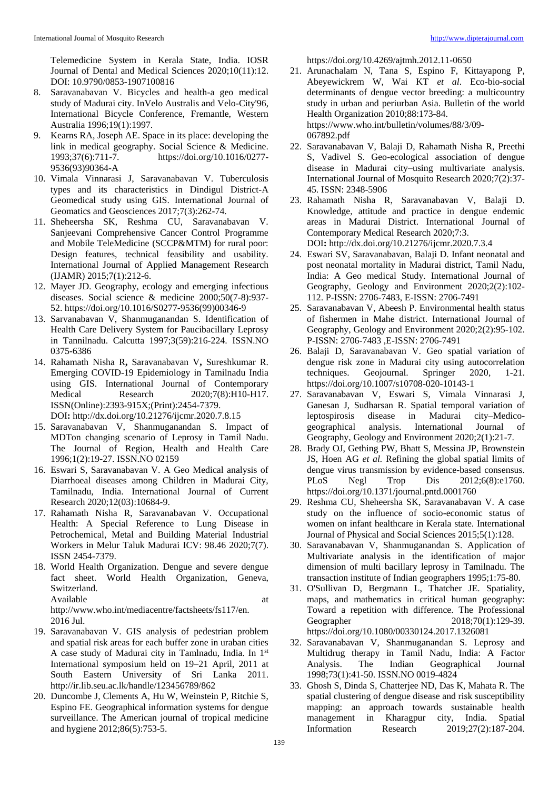Telemedicine System in Kerala State, India. IOSR Journal of Dental and Medical Sciences 2020;10(11):12. DOI: 10.9790/0853-1907100816

- 8. Saravanabavan V. Bicycles and health-a geo medical study of Madurai city. InVelo Australis and Velo-City'96, International Bicycle Conference, Fremantle, Western Australia 1996;19(1):1997.
- 9. Kearns RA, Joseph AE. Space in its place: developing the link in medical geography. Social Science & Medicine. 1993;37(6):711-7. https://doi.org/10.1016/0277- 9536(93)90364-A
- 10. Vimala Vinnarasi J, Saravanabavan V. Tuberculosis types and its characteristics in Dindigul District-A Geomedical study using GIS. International Journal of Geomatics and Geosciences 2017;7(3):262-74.
- 11. Sheheersha SK, Reshma CU, Saravanabavan V. Sanjeevani Comprehensive Cancer Control Programme and Mobile TeleMedicine (SCCP&MTM) for rural poor: Design features, technical feasibility and usability. International Journal of Applied Management Research (IJAMR) 2015;7(1):212-6.
- 12. Mayer JD. Geography, ecology and emerging infectious diseases. Social science & medicine 2000;50(7-8):937- 52. https://doi.org/10.1016/S0277-9536(99)00346-9
- 13. Sarvanabavan V, Shanmuganandan S. Identification of Health Care Delivery System for Paucibacillary Leprosy in Tannilnadu. Calcutta 1997;3(59):216-224. ISSN.NO 0375-6386
- 14. Rahamath Nisha R**,** Saravanabavan V**,** Sureshkumar R. Emerging COVID-19 Epidemiology in Tamilnadu India using GIS. International Journal of Contemporary Medical Research 2020;7(8):H10-H17. ISSN(Online):2393-915X;(Print):2454-7379. DOI**:** http://dx.doi.org/10.21276/ijcmr.2020.7.8.15
- 15. Saravanabavan V, Shanmuganandan S. Impact of MDTon changing scenario of Leprosy in Tamil Nadu. The Journal of Region, Health and Health Care 1996;1(2):19-27. ISSN.NO 02159
- 16. Eswari S, Saravanabavan V. A Geo Medical analysis of Diarrhoeal diseases among Children in Madurai City, Tamilnadu, India. International Journal of Current Research 2020;12(03):10684-9.
- 17. Rahamath Nisha R, Saravanabavan V. Occupational Health: A Special Reference to Lung Disease in Petrochemical, Metal and Building Material Industrial Workers in Melur Taluk Madurai ICV: 98.46 2020;7(7). ISSN 2454-7379.
- 18. World Health Organization. Dengue and severe dengue fact sheet. World Health Organization, Geneva, Switzerland. Available at a state of  $\alpha$  at a state of  $\alpha$  at a state of  $\alpha$  at a state of  $\alpha$  at a state of  $\alpha$  at a state of  $\alpha$  at a state of  $\alpha$  at a state of  $\alpha$  at a state of  $\alpha$  at a state of  $\alpha$  at a state of  $\alpha$  at

http://www.who.int/mediacentre/factsheets/fs117/en. 2016 Jul.

- 19. Saravanabavan V. GIS analysis of pedestrian problem and spatial risk areas for each buffer zone in uraban cities A case study of Madurai city in Tamlnadu, India. In 1st International symposium held on 19–21 April, 2011 at South Eastern University of Sri Lanka 2011. http://ir.lib.seu.ac.lk/handle/123456789/862
- 20. Duncombe J, Clements A, Hu W, Weinstein P, Ritchie S, Espino FE. Geographical information systems for dengue surveillance. The American journal of tropical medicine and hygiene 2012;86(5):753-5.

https://doi.org/10.4269/ajtmh.2012.11-0650

- 21. Arunachalam N, Tana S, Espino F, Kittayapong P, Abeyewickrem W, Wai KT *et al*. Eco-bio-social determinants of dengue vector breeding: a multicountry study in urban and periurban Asia. Bulletin of the world Health Organization 2010;88:173-84. https://www.who.int/bulletin/volumes/88/3/09- 067892.pdf
- 22. Saravanabavan V, Balaji D, Rahamath Nisha R, Preethi S, Vadivel S. Geo-ecological association of dengue disease in Madurai city–using multivariate analysis. International Journal of Mosquito Research 2020;7(2):37- 45. ISSN: 2348-5906
- 23. Rahamath Nisha R, Saravanabavan V, Balaji D. Knowledge, attitude and practice in dengue endemic areas in Madurai District. International Journal of Contemporary Medical Research 2020;7:3. DOI**:** http://dx.doi.org/10.21276/ijcmr.2020.7.3.4
- 24. Eswari SV, Saravanabavan, Balaji D. Infant neonatal and post neonatal mortality in Madurai district, Tamil Nadu, India: A Geo medical Study. International Journal of Geography, Geology and Environment 2020;2(2):102- 112. P-ISSN: 2706-7483, E-ISSN: 2706-7491
- 25. Saravanabavan V, Abeesh P. Environmental health status of fishermen in Mahe district. International Journal of Geography, Geology and Environment 2020;2(2):95-102. P-ISSN: 2706-7483 ,E-ISSN: 2706-7491
- 26. Balaji D, Saravanabavan V. Geo spatial variation of dengue risk zone in Madurai city using autocorrelation techniques. Geojournal. Springer 2020, 1-21. https://doi.org/10.1007/s10708-020-10143-1
- 27. Saravanabavan V, Eswari S, Vimala Vinnarasi J, Ganesan J, Sudharsan R. Spatial temporal variation of leptospirosis disease in Madurai city–Medicogeographical analysis. International Journal of Geography, Geology and Environment 2020;2(1):21-7.
- 28. Brady OJ, Gething PW, Bhatt S, Messina JP, Brownstein JS, Hoen AG *et al.* Refining the global spatial limits of dengue virus transmission by evidence-based consensus. PLoS Negl Trop Dis 2012;6(8):e1760. https://doi.org/10.1371/journal.pntd.0001760
- 29. Reshma CU, Sheheersha SK, Saravanabavan V. A case study on the influence of socio-economic status of women on infant healthcare in Kerala state. International Journal of Physical and Social Sciences 2015;5(1):128.
- 30. Saravanabavan V, Shanmuganandan S. Application of Multivariate analysis in the identification of major dimension of multi bacillary leprosy in Tamilnadu. The transaction institute of Indian geographers 1995;1:75-80.
- 31. O'Sullivan D, Bergmann L, Thatcher JE. Spatiality, maps, and mathematics in critical human geography: Toward a repetition with difference. The Professional Geographer 2018;70(1):129-39. https://doi.org/10.1080/00330124.2017.1326081
- 32. Saravanabavan V, Shanmuganandan S. Leprosy and Multidrug therapy in Tamil Nadu, India: A Factor Analysis. The Indian Geographical Journal 1998;73(1):41-50. ISSN.NO 0019-4824
- 33. Ghosh S, Dinda S, Chatterjee ND, Das K, Mahata R. The spatial clustering of dengue disease and risk susceptibility mapping: an approach towards sustainable health management in Kharagpur city, India. Spatial Information Research 2019;27(2):187-204.